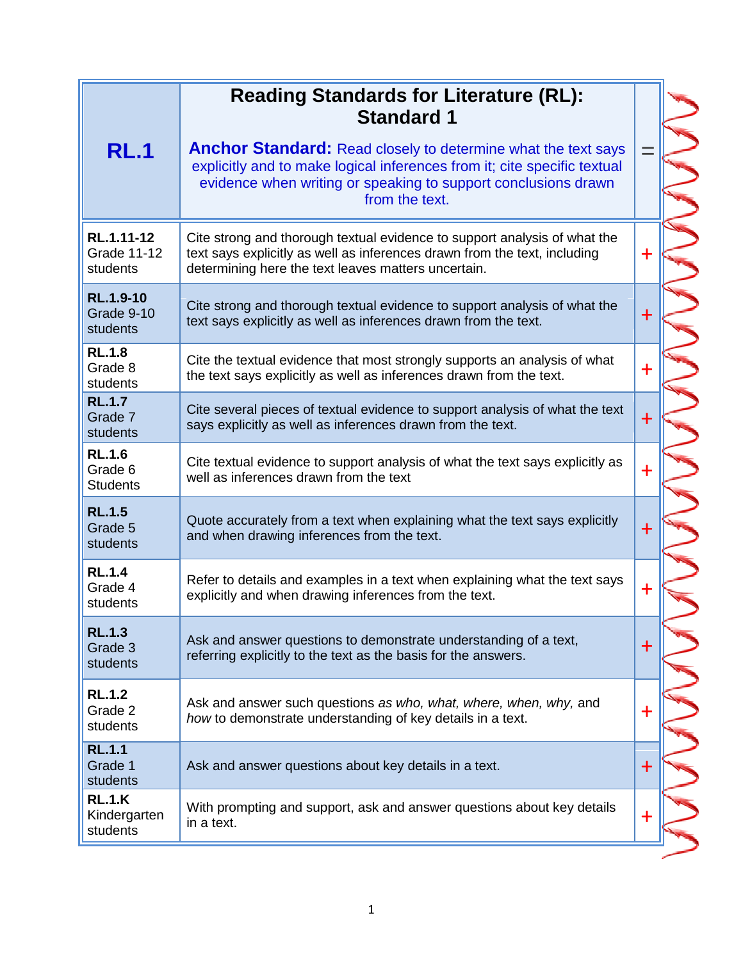|                                              | <b>Reading Standards for Literature (RL):</b><br><b>Standard 1</b>                                                                                                                                                                   |             |  |
|----------------------------------------------|--------------------------------------------------------------------------------------------------------------------------------------------------------------------------------------------------------------------------------------|-------------|--|
| <b>RL.1</b>                                  | <b>Anchor Standard:</b> Read closely to determine what the text says<br>explicitly and to make logical inferences from it; cite specific textual<br>evidence when writing or speaking to support conclusions drawn<br>from the text. |             |  |
| RL.1.11-12<br><b>Grade 11-12</b><br>students | Cite strong and thorough textual evidence to support analysis of what the<br>text says explicitly as well as inferences drawn from the text, including<br>determining here the text leaves matters uncertain.                        | $\mathbf +$ |  |
| <b>RL.1.9-10</b><br>Grade 9-10<br>students   | Cite strong and thorough textual evidence to support analysis of what the<br>text says explicitly as well as inferences drawn from the text.                                                                                         | $\ddag$     |  |
| <b>RL.1.8</b><br>Grade 8<br>students         | Cite the textual evidence that most strongly supports an analysis of what<br>the text says explicitly as well as inferences drawn from the text.                                                                                     | $\ddot{}$   |  |
| <b>RL.1.7</b><br>Grade 7<br>students         | Cite several pieces of textual evidence to support analysis of what the text<br>says explicitly as well as inferences drawn from the text.                                                                                           | $\ddag$     |  |
| <b>RL.1.6</b><br>Grade 6<br><b>Students</b>  | Cite textual evidence to support analysis of what the text says explicitly as<br>well as inferences drawn from the text                                                                                                              | $\ddot{}$   |  |
| <b>RL.1.5</b><br>Grade 5<br>students         | Quote accurately from a text when explaining what the text says explicitly<br>and when drawing inferences from the text.                                                                                                             | $\ddag$     |  |
| <b>RL.1.4</b><br>Grade 4<br>students         | Refer to details and examples in a text when explaining what the text says<br>explicitly and when drawing inferences from the text.                                                                                                  | $\mathbf +$ |  |
| <b>RL.1.3</b><br>Grade 3<br>students         | Ask and answer questions to demonstrate understanding of a text,<br>referring explicitly to the text as the basis for the answers.                                                                                                   | $\ddot{}$   |  |
| <b>RL.1.2</b><br>Grade 2<br>students         | Ask and answer such questions as who, what, where, when, why, and<br>how to demonstrate understanding of key details in a text.                                                                                                      | $\ddag$     |  |
| <b>RL.1.1</b><br>Grade 1<br>students         | Ask and answer questions about key details in a text.                                                                                                                                                                                | $\ddagger$  |  |
| <b>RL.1.K</b><br>Kindergarten<br>students    | With prompting and support, ask and answer questions about key details<br>in a text.                                                                                                                                                 | $\ddagger$  |  |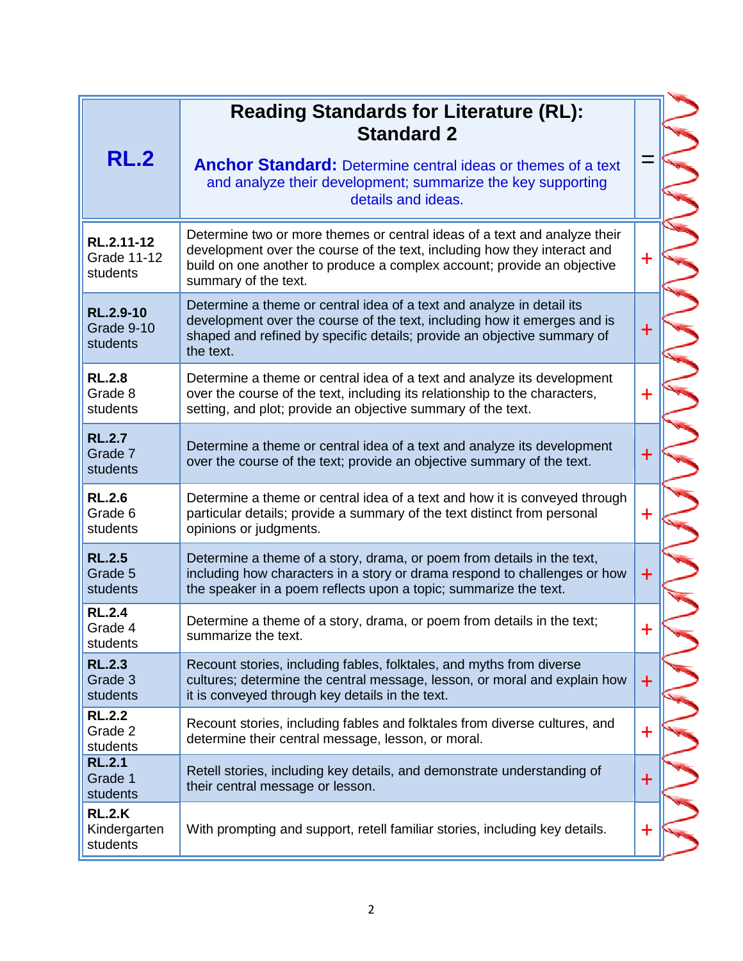| <b>RL.2</b>                                  | <b>Reading Standards for Literature (RL):</b><br><b>Standard 2</b><br><b>Anchor Standard:</b> Determine central ideas or themes of a text<br>and analyze their development; summarize the key supporting<br>details and ideas.                           |                      |
|----------------------------------------------|----------------------------------------------------------------------------------------------------------------------------------------------------------------------------------------------------------------------------------------------------------|----------------------|
| RL.2.11-12<br><b>Grade 11-12</b><br>students | Determine two or more themes or central ideas of a text and analyze their<br>development over the course of the text, including how they interact and<br>build on one another to produce a complex account; provide an objective<br>summary of the text. | $\textcolor{red}{+}$ |
| <b>RL.2.9-10</b><br>Grade 9-10<br>students   | Determine a theme or central idea of a text and analyze in detail its<br>development over the course of the text, including how it emerges and is<br>shaped and refined by specific details; provide an objective summary of<br>the text.                | $\mathbf +$          |
| <b>RL.2.8</b><br>Grade 8<br>students         | Determine a theme or central idea of a text and analyze its development<br>over the course of the text, including its relationship to the characters,<br>setting, and plot; provide an objective summary of the text.                                    | $\ddot{}$            |
| <b>RL.2.7</b><br>Grade 7<br>students         | Determine a theme or central idea of a text and analyze its development<br>over the course of the text; provide an objective summary of the text.                                                                                                        | $\ddagger$           |
| <b>RL.2.6</b><br>Grade 6<br>students         | Determine a theme or central idea of a text and how it is conveyed through<br>particular details; provide a summary of the text distinct from personal<br>opinions or judgments.                                                                         | $\ddot{}$            |
| <b>RL.2.5</b><br>Grade 5<br>students         | Determine a theme of a story, drama, or poem from details in the text,<br>including how characters in a story or drama respond to challenges or how<br>the speaker in a poem reflects upon a topic; summarize the text.                                  | $+$                  |
| <b>RL.2.4</b><br>Grade 4<br>students         | Determine a theme of a story, drama, or poem from details in the text;<br>summarize the text.                                                                                                                                                            |                      |
| <b>RL.2.3</b><br>Grade 3<br>students         | Recount stories, including fables, folktales, and myths from diverse<br>cultures; determine the central message, lesson, or moral and explain how<br>it is conveyed through key details in the text.                                                     | $\ddot{}$            |
| <b>RL.2.2</b><br>Grade 2<br>students         | Recount stories, including fables and folktales from diverse cultures, and<br>determine their central message, lesson, or moral.                                                                                                                         | $\bm{+}$             |
| <b>RL.2.1</b><br>Grade 1<br>students         | Retell stories, including key details, and demonstrate understanding of<br>their central message or lesson.                                                                                                                                              | $\ddag$              |
| <b>RL.2.K</b><br>Kindergarten<br>students    | With prompting and support, retell familiar stories, including key details.                                                                                                                                                                              | $\ddot{}$            |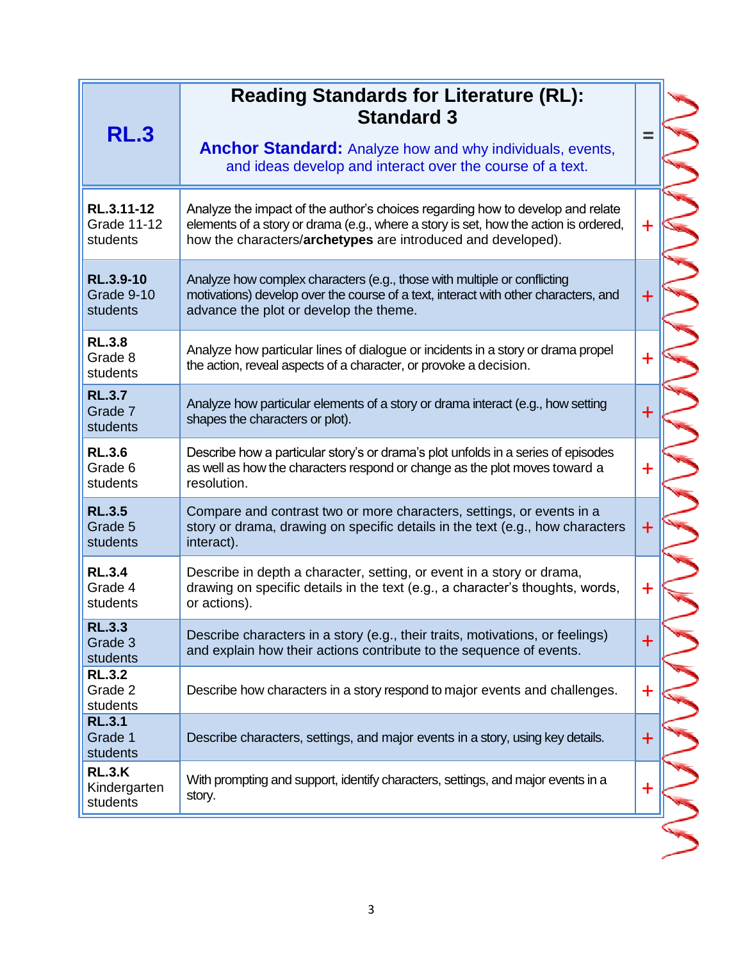| <b>RL.3</b>                                  | <b>Reading Standards for Literature (RL):</b><br><b>Standard 3</b><br><b>Anchor Standard:</b> Analyze how and why individuals, events,<br>and ideas develop and interact over the course of a text.                                    |             |
|----------------------------------------------|----------------------------------------------------------------------------------------------------------------------------------------------------------------------------------------------------------------------------------------|-------------|
| RL.3.11-12<br><b>Grade 11-12</b><br>students | Analyze the impact of the author's choices regarding how to develop and relate<br>elements of a story or drama (e.g., where a story is set, how the action is ordered,<br>how the characters/archetypes are introduced and developed). | $\ddot{}$   |
| RL.3.9-10<br>Grade 9-10<br>students          | Analyze how complex characters (e.g., those with multiple or conflicting<br>motivations) develop over the course of a text, interact with other characters, and<br>advance the plot or develop the theme.                              | $\ddot{}$   |
| <b>RL.3.8</b><br>Grade 8<br>students         | Analyze how particular lines of dialogue or incidents in a story or drama propel<br>the action, reveal aspects of a character, or provoke a decision.                                                                                  | $\mathbf +$ |
| <b>RL.3.7</b><br>Grade 7<br>students         | Analyze how particular elements of a story or drama interact (e.g., how setting<br>shapes the characters or plot).                                                                                                                     | $+$         |
| <b>RL.3.6</b><br>Grade 6<br>students         | Describe how a particular story's or drama's plot unfolds in a series of episodes<br>as well as how the characters respond or change as the plot moves toward a<br>resolution.                                                         | $\ddot{}$   |
| <b>RL.3.5</b><br>Grade 5<br>students         | Compare and contrast two or more characters, settings, or events in a<br>story or drama, drawing on specific details in the text (e.g., how characters<br>interact).                                                                   | $\bm{+}$    |
| <b>RL.3.4</b><br>Grade 4<br>students         | Describe in depth a character, setting, or event in a story or drama,<br>drawing on specific details in the text (e.g., a character's thoughts, words,<br>or actions).                                                                 | $\mathbf +$ |
| <b>RL.3.3</b><br>Grade 3<br>students         | Describe characters in a story (e.g., their traits, motivations, or feelings)<br>and explain how their actions contribute to the sequence of events.                                                                                   | $\mathbf +$ |
| <b>RL.3.2</b><br>Grade 2<br>students         | Describe how characters in a story respond to major events and challenges.                                                                                                                                                             | $\mathbf +$ |
| <b>RL.3.1</b><br>Grade 1<br>students         | Describe characters, settings, and major events in a story, using key details.                                                                                                                                                         | $\mathbf +$ |
| <b>RL.3.K</b><br>Kindergarten<br>students    | With prompting and support, identify characters, settings, and major events in a<br>story.                                                                                                                                             | $\mathbf +$ |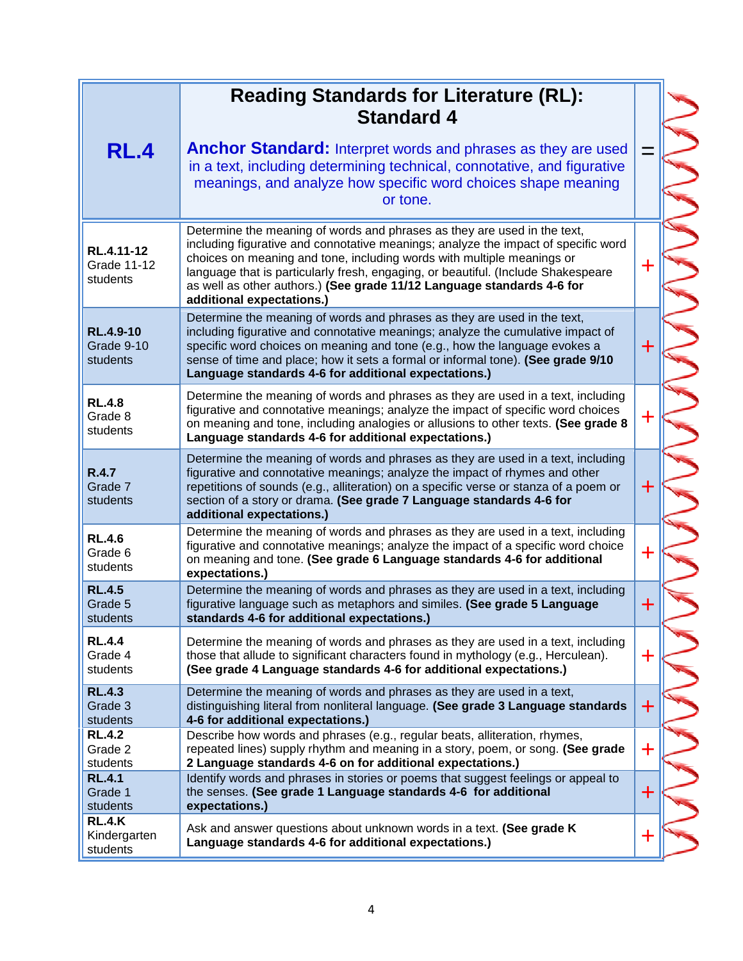| <b>RL.4</b>                                | <b>Reading Standards for Literature (RL):</b><br><b>Standard 4</b><br><b>Anchor Standard:</b> Interpret words and phrases as they are used<br>in a text, including determining technical, connotative, and figurative<br>meanings, and analyze how specific word choices shape meaning<br>or tone.                                                                                                                                   | Ξ           |
|--------------------------------------------|--------------------------------------------------------------------------------------------------------------------------------------------------------------------------------------------------------------------------------------------------------------------------------------------------------------------------------------------------------------------------------------------------------------------------------------|-------------|
| RL.4.11-12<br>Grade 11-12<br>students      | Determine the meaning of words and phrases as they are used in the text,<br>including figurative and connotative meanings; analyze the impact of specific word<br>choices on meaning and tone, including words with multiple meanings or<br>language that is particularly fresh, engaging, or beautiful. (Include Shakespeare<br>as well as other authors.) (See grade 11/12 Language standards 4-6 for<br>additional expectations.) | $\ddag$     |
| <b>RL.4.9-10</b><br>Grade 9-10<br>students | Determine the meaning of words and phrases as they are used in the text,<br>including figurative and connotative meanings; analyze the cumulative impact of<br>specific word choices on meaning and tone (e.g., how the language evokes a<br>sense of time and place; how it sets a formal or informal tone). (See grade 9/10<br>Language standards 4-6 for additional expectations.)                                                | $\pm$       |
| <b>RL.4.8</b><br>Grade 8<br>students       | Determine the meaning of words and phrases as they are used in a text, including<br>figurative and connotative meanings; analyze the impact of specific word choices<br>on meaning and tone, including analogies or allusions to other texts. (See grade 8<br>Language standards 4-6 for additional expectations.)                                                                                                                   | ┿           |
| R.4.7<br>Grade 7<br>students               | Determine the meaning of words and phrases as they are used in a text, including<br>figurative and connotative meanings; analyze the impact of rhymes and other<br>repetitions of sounds (e.g., alliteration) on a specific verse or stanza of a poem or<br>section of a story or drama. (See grade 7 Language standards 4-6 for<br>additional expectations.)                                                                        | $\div$      |
| <b>RL.4.6</b><br>Grade 6<br>students       | Determine the meaning of words and phrases as they are used in a text, including<br>figurative and connotative meanings; analyze the impact of a specific word choice<br>on meaning and tone. (See grade 6 Language standards 4-6 for additional<br>expectations.)                                                                                                                                                                   | $\mathbf +$ |
| <b>RL.4.5</b><br>Grade 5<br>students       | Determine the meaning of words and phrases as they are used in a text, including<br>figurative language such as metaphors and similes. (See grade 5 Language<br>standards 4-6 for additional expectations.)                                                                                                                                                                                                                          | $\ddag$     |
| <b>RL.4.4</b><br>Grade 4<br>students       | Determine the meaning of words and phrases as they are used in a text, including<br>those that allude to significant characters found in mythology (e.g., Herculean).<br>(See grade 4 Language standards 4-6 for additional expectations.)                                                                                                                                                                                           | ╋           |
| <b>RL.4.3</b><br>Grade 3<br>students       | Determine the meaning of words and phrases as they are used in a text,<br>distinguishing literal from nonliteral language. (See grade 3 Language standards<br>4-6 for additional expectations.)                                                                                                                                                                                                                                      | $\ddag$     |
| <b>RL.4.2</b><br>Grade 2<br>students       | Describe how words and phrases (e.g., regular beats, alliteration, rhymes,<br>repeated lines) supply rhythm and meaning in a story, poem, or song. (See grade<br>2 Language standards 4-6 on for additional expectations.)                                                                                                                                                                                                           | ╉           |
| <b>RL.4.1</b><br>Grade 1<br>students       | Identify words and phrases in stories or poems that suggest feelings or appeal to<br>the senses. (See grade 1 Language standards 4-6 for additional<br>expectations.)                                                                                                                                                                                                                                                                | $\pm$       |
| RL.4.K<br>Kindergarten<br>students         | Ask and answer questions about unknown words in a text. (See grade K<br>Language standards 4-6 for additional expectations.)                                                                                                                                                                                                                                                                                                         | $\mathbf +$ |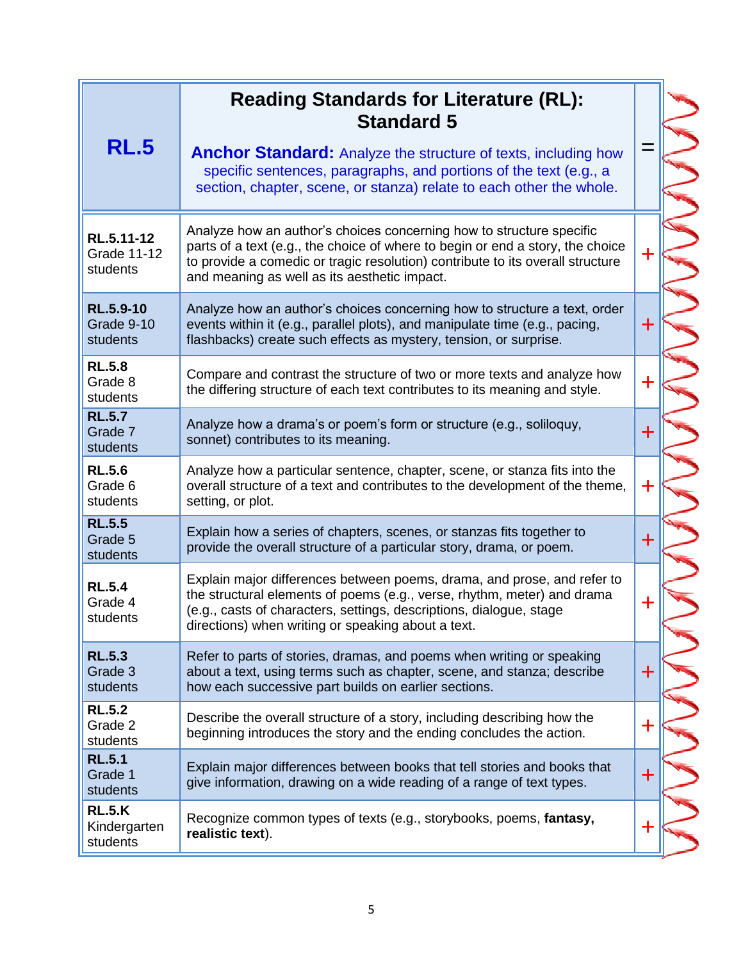| <b>RL.5</b>                                  | <b>Reading Standards for Literature (RL):</b><br><b>Standard 5</b><br><b>Anchor Standard:</b> Analyze the structure of texts, including how<br>specific sentences, paragraphs, and portions of the text (e.g., a<br>section, chapter, scene, or stanza) relate to each other the whole.  |             |  |
|----------------------------------------------|------------------------------------------------------------------------------------------------------------------------------------------------------------------------------------------------------------------------------------------------------------------------------------------|-------------|--|
| RL.5.11-12<br><b>Grade 11-12</b><br>students | Analyze how an author's choices concerning how to structure specific<br>parts of a text (e.g., the choice of where to begin or end a story, the choice<br>to provide a comedic or tragic resolution) contribute to its overall structure<br>and meaning as well as its aesthetic impact. | ╈           |  |
| <b>RL.5.9-10</b><br>Grade 9-10<br>students   | Analyze how an author's choices concerning how to structure a text, order<br>events within it (e.g., parallel plots), and manipulate time (e.g., pacing,<br>flashbacks) create such effects as mystery, tension, or surprise.                                                            | $\div$      |  |
| <b>RL.5.8</b><br>Grade 8<br>students         | Compare and contrast the structure of two or more texts and analyze how<br>the differing structure of each text contributes to its meaning and style.                                                                                                                                    | $\div$      |  |
| <b>RL.5.7</b><br>Grade 7<br>students         | Analyze how a drama's or poem's form or structure (e.g., soliloquy,<br>sonnet) contributes to its meaning.                                                                                                                                                                               | $\ddot{}$   |  |
| <b>RL.5.6</b><br>Grade 6<br>students         | Analyze how a particular sentence, chapter, scene, or stanza fits into the<br>overall structure of a text and contributes to the development of the theme,<br>setting, or plot.                                                                                                          | $\div$      |  |
| <b>RL.5.5</b><br>Grade 5<br>students         | Explain how a series of chapters, scenes, or stanzas fits together to<br>provide the overall structure of a particular story, drama, or poem.                                                                                                                                            | $\ddot{}$   |  |
| <b>RL.5.4</b><br>Grade 4<br>students         | Explain major differences between poems, drama, and prose, and refer to<br>the structural elements of poems (e.g., verse, rhythm, meter) and drama<br>(e.g., casts of characters, settings, descriptions, dialogue, stage<br>directions) when writing or speaking about a text.          | ╋           |  |
| <b>RL.5.3</b><br>Grade 3<br>students         | Refer to parts of stories, dramas, and poems when writing or speaking<br>about a text, using terms such as chapter, scene, and stanza; describe<br>how each successive part builds on earlier sections.                                                                                  | ╋           |  |
| <b>RL.5.2</b><br>Grade 2<br>students         | Describe the overall structure of a story, including describing how the<br>beginning introduces the story and the ending concludes the action.                                                                                                                                           | ╋           |  |
| <b>RL.5.1</b><br>Grade 1<br>students         | Explain major differences between books that tell stories and books that<br>give information, drawing on a wide reading of a range of text types.                                                                                                                                        | ╋           |  |
| <b>RL.5.K</b><br>Kindergarten<br>students    | Recognize common types of texts (e.g., storybooks, poems, fantasy,<br>realistic text).                                                                                                                                                                                                   | $\mathbf +$ |  |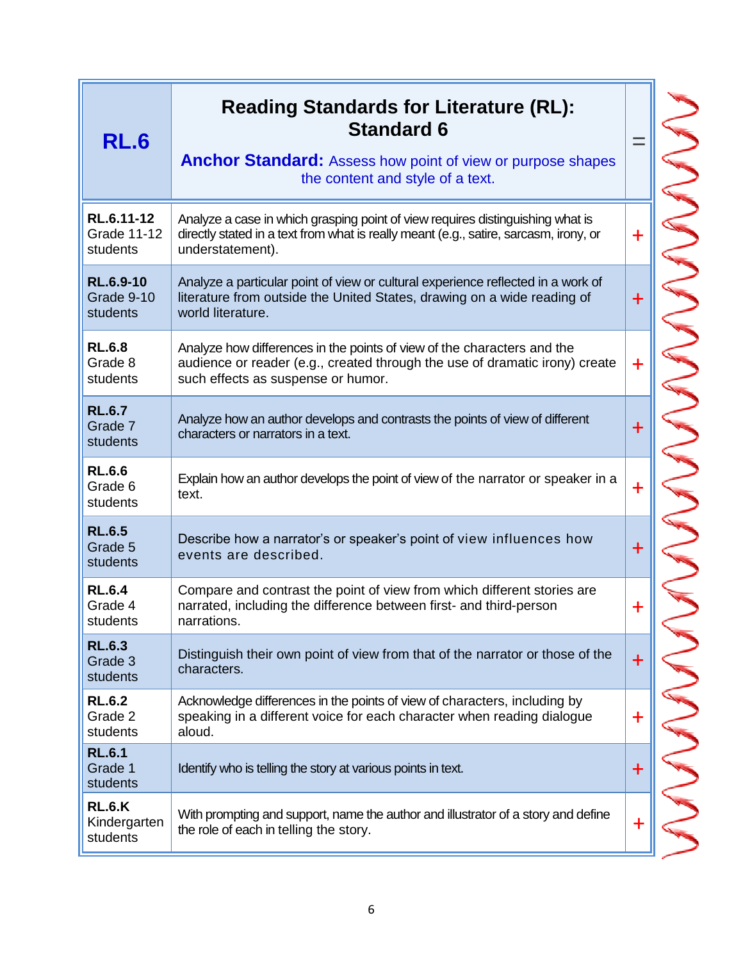| <b>RL.6</b>                                  | <b>Reading Standards for Literature (RL):</b><br><b>Standard 6</b><br><b>Anchor Standard:</b> Assess how point of view or purpose shapes<br>the content and style of a text.                 |             |
|----------------------------------------------|----------------------------------------------------------------------------------------------------------------------------------------------------------------------------------------------|-------------|
| RL.6.11-12<br><b>Grade 11-12</b><br>students | Analyze a case in which grasping point of view requires distinguishing what is<br>directly stated in a text from what is really meant (e.g., satire, sarcasm, irony, or<br>understatement).  | $\ddot{}$   |
| <b>RL.6.9-10</b><br>Grade 9-10<br>students   | Analyze a particular point of view or cultural experience reflected in a work of<br>literature from outside the United States, drawing on a wide reading of<br>world literature.             | $\mathbf +$ |
| <b>RL.6.8</b><br>Grade 8<br>students         | Analyze how differences in the points of view of the characters and the<br>audience or reader (e.g., created through the use of dramatic irony) create<br>such effects as suspense or humor. | $\mathbf +$ |
| <b>RL.6.7</b><br>Grade 7<br>students         | Analyze how an author develops and contrasts the points of view of different<br>characters or narrators in a text.                                                                           | $\pm$       |
| <b>RL.6.6</b><br>Grade 6<br>students         | Explain how an author develops the point of view of the narrator or speaker in a<br>text.                                                                                                    | $\mathbf +$ |
| <b>RL.6.5</b><br>Grade 5<br>students         | Describe how a narrator's or speaker's point of view influences how<br>events are described.                                                                                                 | $\pm$       |
| <b>RL.6.4</b><br>Grade 4<br>students         | Compare and contrast the point of view from which different stories are<br>narrated, including the difference between first- and third-person<br>narrations.                                 | $\mathbf +$ |
| <b>RL.6.3</b><br>Grade 3<br>students         | Distinguish their own point of view from that of the narrator or those of the<br>characters.                                                                                                 | $\pm$       |
| <b>RL.6.2</b><br>Grade 2<br>students         | Acknowledge differences in the points of view of characters, including by<br>speaking in a different voice for each character when reading dialogue<br>aloud.                                | $\mathbf +$ |
| <b>RL.6.1</b><br>Grade 1<br>students         | Identify who is telling the story at various points in text.                                                                                                                                 | $\mathbf +$ |
| <b>RL.6.K</b><br>Kindergarten<br>students    | With prompting and support, name the author and illustrator of a story and define<br>the role of each in telling the story.                                                                  | $\ddag$     |

こうこうこうこうこう こうこうこう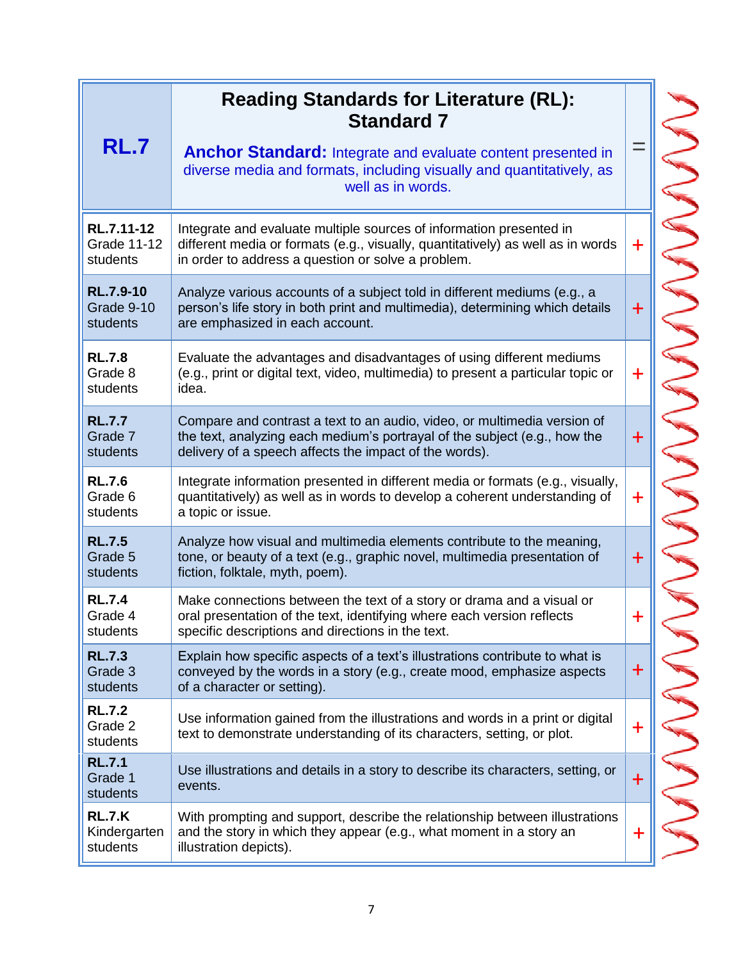| RL.7                                         | <b>Reading Standards for Literature (RL):</b><br><b>Standard 7</b><br><b>Anchor Standard:</b> Integrate and evaluate content presented in<br>diverse media and formats, including visually and quantitatively, as<br>well as in words. |             |
|----------------------------------------------|----------------------------------------------------------------------------------------------------------------------------------------------------------------------------------------------------------------------------------------|-------------|
| RL.7.11-12<br><b>Grade 11-12</b><br>students | Integrate and evaluate multiple sources of information presented in<br>different media or formats (e.g., visually, quantitatively) as well as in words<br>in order to address a question or solve a problem.                           | $\ddag$     |
| <b>RL.7.9-10</b><br>Grade 9-10<br>students   | Analyze various accounts of a subject told in different mediums (e.g., a<br>person's life story in both print and multimedia), determining which details<br>are emphasized in each account.                                            | $\ddot{}$   |
| <b>RL.7.8</b><br>Grade 8<br>students         | Evaluate the advantages and disadvantages of using different mediums<br>(e.g., print or digital text, video, multimedia) to present a particular topic or<br>idea.                                                                     | $\mathbf +$ |
| <b>RL.7.7</b><br>Grade 7<br>students         | Compare and contrast a text to an audio, video, or multimedia version of<br>the text, analyzing each medium's portrayal of the subject (e.g., how the<br>delivery of a speech affects the impact of the words).                        | $\ddot{}$   |
| <b>RL.7.6</b><br>Grade 6<br>students         | Integrate information presented in different media or formats (e.g., visually,<br>quantitatively) as well as in words to develop a coherent understanding of<br>a topic or issue.                                                      | $\ddot{}$   |
| <b>RL.7.5</b><br>Grade 5<br>students         | Analyze how visual and multimedia elements contribute to the meaning,<br>tone, or beauty of a text (e.g., graphic novel, multimedia presentation of<br>fiction, folktale, myth, poem).                                                 | $\ddot{}$   |
| <b>RL.7.4</b><br>Grade 4<br>students         | Make connections between the text of a story or drama and a visual or<br>oral presentation of the text, identifying where each version reflects<br>specific descriptions and directions in the text.                                   |             |
| <b>RL.7.3</b><br>Grade 3<br>students         | Explain how specific aspects of a text's illustrations contribute to what is<br>conveyed by the words in a story (e.g., create mood, emphasize aspects<br>of a character or setting).                                                  | $\bm{+}$    |
| <b>RL.7.2</b><br>Grade 2<br>students         | Use information gained from the illustrations and words in a print or digital<br>text to demonstrate understanding of its characters, setting, or plot.                                                                                | $\ddag$     |
| <b>RL.7.1</b><br>Grade 1<br>students         | Use illustrations and details in a story to describe its characters, setting, or<br>events.                                                                                                                                            | $\bm{+}$    |
| <b>RL.7.K</b><br>Kindergarten<br>students    | With prompting and support, describe the relationship between illustrations<br>and the story in which they appear (e.g., what moment in a story an<br>illustration depicts).                                                           | $\mathbf +$ |

⋗ ⋗ ⋗  $\mathbf{\mathcal{E}}$ ⋗  $\mathbf{z}$  $\overline{\phantom{0}}$ 5  $\mathbf{C}$ ⋗  $\overline{\phantom{1}}$ ⋗ ⋝  $\mathbf{C}$ ⋗ ⋗  $\overline{\phantom{0}}$  $\blacktriangleright$  $\blacktriangleright$  $\mathsf{S}$ ⋝ 5 5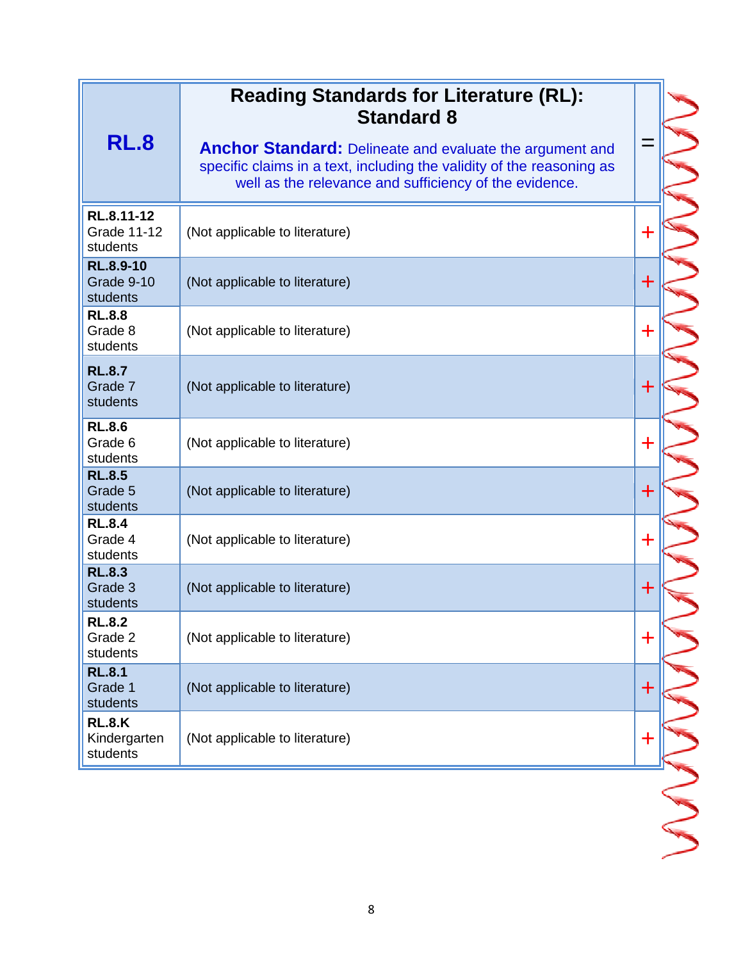| <b>RL.8</b>                                  | <b>Reading Standards for Literature (RL):</b><br><b>Standard 8</b><br><b>Anchor Standard:</b> Delineate and evaluate the argument and<br>specific claims in a text, including the validity of the reasoning as<br>well as the relevance and sufficiency of the evidence. | ═ |  |
|----------------------------------------------|--------------------------------------------------------------------------------------------------------------------------------------------------------------------------------------------------------------------------------------------------------------------------|---|--|
| RL.8.11-12<br><b>Grade 11-12</b><br>students | (Not applicable to literature)                                                                                                                                                                                                                                           | ╋ |  |
| <b>RL.8.9-10</b><br>Grade 9-10<br>students   | (Not applicable to literature)                                                                                                                                                                                                                                           | ╋ |  |
| <b>RL.8.8</b><br>Grade 8<br>students         | (Not applicable to literature)                                                                                                                                                                                                                                           | ┿ |  |
| <b>RL.8.7</b><br>Grade 7<br>students         | (Not applicable to literature)                                                                                                                                                                                                                                           | ╋ |  |
| <b>RL.8.6</b><br>Grade 6<br>students         | (Not applicable to literature)                                                                                                                                                                                                                                           | ╋ |  |
| <b>RL.8.5</b><br>Grade 5<br>students         | (Not applicable to literature)                                                                                                                                                                                                                                           | ╈ |  |
| <b>RL.8.4</b><br>Grade 4<br>students         | (Not applicable to literature)                                                                                                                                                                                                                                           | ╋ |  |
| <b>RL.8.3</b><br>Grade 3<br>students         | (Not applicable to literature)                                                                                                                                                                                                                                           | ╋ |  |
| <b>RL.8.2</b><br>Grade 2<br>students         | (Not applicable to literature)                                                                                                                                                                                                                                           | ╋ |  |
| <b>RL.8.1</b><br>Grade 1<br>students         | (Not applicable to literature)                                                                                                                                                                                                                                           | ╈ |  |
| <b>RL.8.K</b><br>Kindergarten<br>students    | (Not applicable to literature)                                                                                                                                                                                                                                           | ╈ |  |
|                                              |                                                                                                                                                                                                                                                                          |   |  |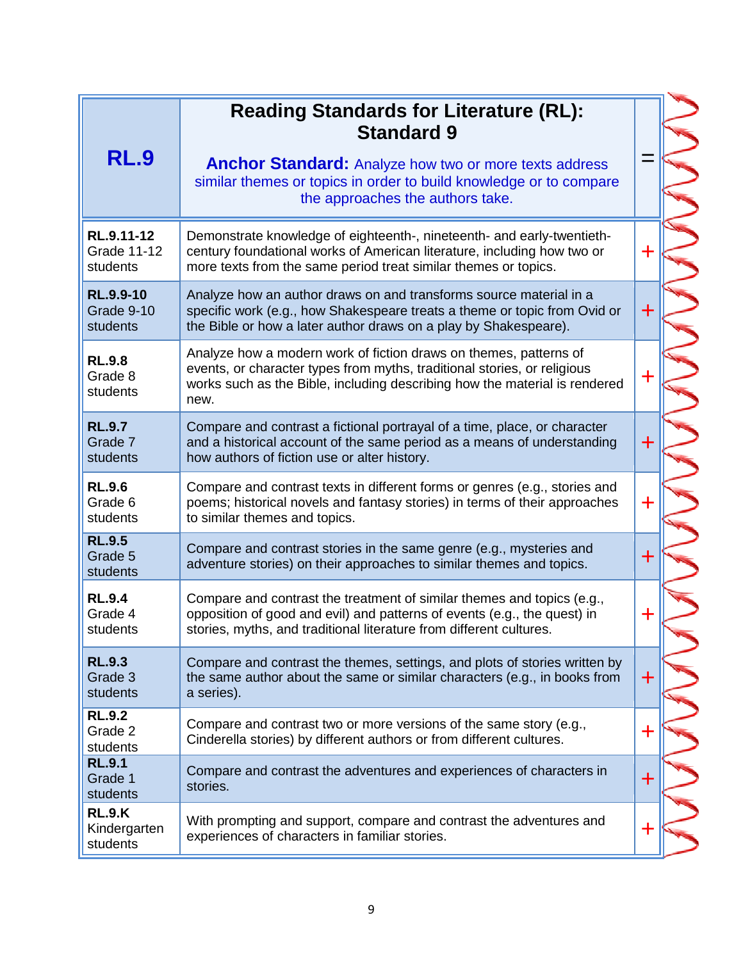| <b>RL.9</b>                                  | <b>Reading Standards for Literature (RL):</b><br><b>Standard 9</b><br><b>Anchor Standard:</b> Analyze how two or more texts address<br>similar themes or topics in order to build knowledge or to compare<br>the approaches the authors take. | $\equiv$    |  |
|----------------------------------------------|-----------------------------------------------------------------------------------------------------------------------------------------------------------------------------------------------------------------------------------------------|-------------|--|
| RL.9.11-12<br><b>Grade 11-12</b><br>students | Demonstrate knowledge of eighteenth-, nineteenth- and early-twentieth-<br>century foundational works of American literature, including how two or<br>more texts from the same period treat similar themes or topics.                          | $\div$      |  |
| <b>RL.9.9-10</b><br>Grade 9-10<br>students   | Analyze how an author draws on and transforms source material in a<br>specific work (e.g., how Shakespeare treats a theme or topic from Ovid or<br>the Bible or how a later author draws on a play by Shakespeare).                           | $\div$      |  |
| <b>RL.9.8</b><br>Grade 8<br>students         | Analyze how a modern work of fiction draws on themes, patterns of<br>events, or character types from myths, traditional stories, or religious<br>works such as the Bible, including describing how the material is rendered<br>new.           | $\ddot{}$   |  |
| <b>RL.9.7</b><br>Grade 7<br>students         | Compare and contrast a fictional portrayal of a time, place, or character<br>and a historical account of the same period as a means of understanding<br>how authors of fiction use or alter history.                                          | $\ddag$     |  |
| <b>RL.9.6</b><br>Grade 6<br>students         | Compare and contrast texts in different forms or genres (e.g., stories and<br>poems; historical novels and fantasy stories) in terms of their approaches<br>to similar themes and topics.                                                     | ╉           |  |
| <b>RL.9.5</b><br>Grade 5<br>students         | Compare and contrast stories in the same genre (e.g., mysteries and<br>adventure stories) on their approaches to similar themes and topics.                                                                                                   | $\div$      |  |
| <b>RL.9.4</b><br>Grade 4<br>students         | Compare and contrast the treatment of similar themes and topics (e.g.,<br>opposition of good and evil) and patterns of events (e.g., the quest) in<br>stories, myths, and traditional literature from different cultures.                     | $\mathbf +$ |  |
| <b>RL.9.3</b><br>Grade 3<br>students         | Compare and contrast the themes, settings, and plots of stories written by<br>the same author about the same or similar characters (e.g., in books from<br>a series).                                                                         | $\pm$       |  |
| <b>RL.9.2</b><br>Grade 2<br>students         | Compare and contrast two or more versions of the same story (e.g.,<br>Cinderella stories) by different authors or from different cultures.                                                                                                    | ╈           |  |
| <b>RL.9.1</b><br>Grade 1<br>students         | Compare and contrast the adventures and experiences of characters in<br>stories.                                                                                                                                                              | $\ddag$     |  |
| <b>RL.9.K</b><br>Kindergarten<br>students    | With prompting and support, compare and contrast the adventures and<br>experiences of characters in familiar stories.                                                                                                                         | $\mathbf +$ |  |